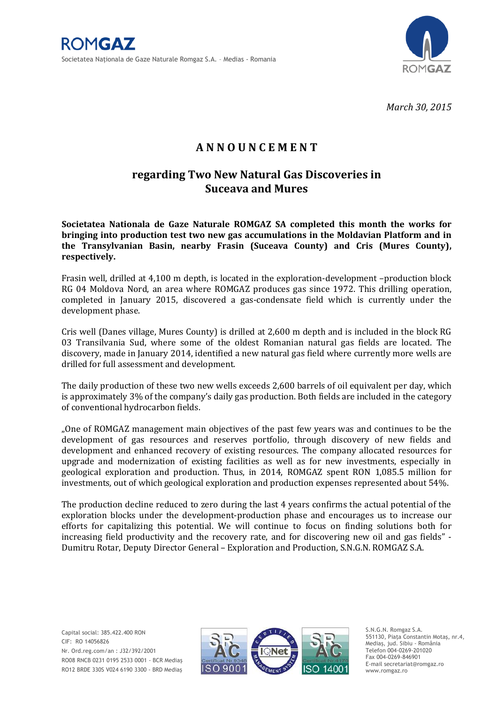

*March 30, 2015*

## **A N N O U N C E M E N T**

## **regarding Two New Natural Gas Discoveries in Suceava and Mures**

**Societatea Nationala de Gaze Naturale ROMGAZ SA completed this month the works for bringing into production test two new gas accumulations in the Moldavian Platform and in the Transylvanian Basin, nearby Frasin (Suceava County) and Cris (Mures County), respectively.**

Frasin well, drilled at 4,100 m depth, is located in the exploration-development –production block RG 04 Moldova Nord, an area where ROMGAZ produces gas since 1972. This drilling operation, completed in January 2015, discovered a gas-condensate field which is currently under the development phase.

Cris well (Danes village, Mures County) is drilled at 2,600 m depth and is included in the block RG 03 Transilvania Sud, where some of the oldest Romanian natural gas fields are located. The discovery, made in January 2014, identified a new natural gas field where currently more wells are drilled for full assessment and development.

The daily production of these two new wells exceeds 2,600 barrels of oil equivalent per day, which is approximately 3% of the company's daily gas production. Both fields are included in the category of conventional hydrocarbon fields.

"One of ROMGAZ management main objectives of the past few years was and continues to be the development of gas resources and reserves portfolio, through discovery of new fields and development and enhanced recovery of existing resources. The company allocated resources for upgrade and modernization of existing facilities as well as for new investments, especially in geological exploration and production. Thus, in 2014, ROMGAZ spent RON 1,085.5 million for investments*,* out of which geological exploration and production expenses represented about 54%.

The production decline reduced to zero during the last 4 years confirms the actual potential of the exploration blocks under the development-production phase and encourages us to increase our efforts for capitalizing this potential. We will continue to focus on finding solutions both for increasing field productivity and the recovery rate, and for discovering new oil and gas fields" - Dumitru Rotar, Deputy Director General – Exploration and Production, S.N.G.N. ROMGAZ S.A.



S.N.G.N. Romgaz S.A. 551130, Piaţa Constantin Motaş, nr.4, Mediaş, jud. Sibiu - România Telefon 004-0269-201020 Fax 004-0269-846901 E-mail secretariat@romgaz.ro www.romgaz.ro